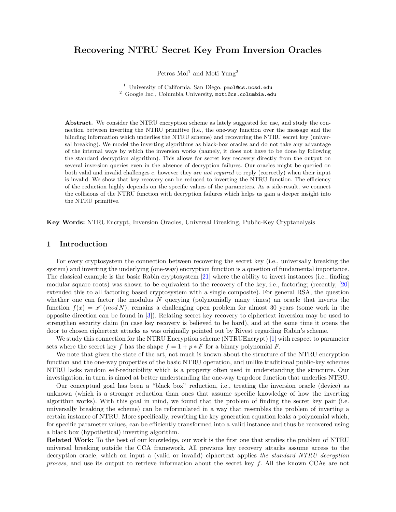# Recovering NTRU Secret Key From Inversion Oracles

Petros  $Mol<sup>1</sup>$  and Moti Yung<sup>2</sup>

<sup>1</sup> University of California, San Diego, pmol@cs.ucsd.edu <sup>2</sup> Google Inc., Columbia University, moti@cs.columbia.edu

Abstract. We consider the NTRU encryption scheme as lately suggested for use, and study the connection between inverting the NTRU primitive (i.e., the one-way function over the message and the blinding information which underlies the NTRU scheme) and recovering the NTRU secret key (universal breaking). We model the inverting algorithms as black-box oracles and do not take any advantage of the internal ways by which the inversion works (namely, it does not have to be done by following the standard decryption algorithm). This allows for secret key recovery directly from the output on several inversion queries even in the absence of decryption failures. Our oracles might be queried on both valid and invalid challenges  $e$ , however they are not required to reply (correctly) when their input is invalid. We show that key recovery can be reduced to inverting the NTRU function. The efficiency of the reduction highly depends on the specific values of the parameters. As a side-result, we connect the collisions of the NTRU function with decryption failures which helps us gain a deeper insight into the NTRU primitive.

Key Words: NTRUEncrypt, Inversion Oracles, Universal Breaking, Public-Key Cryptanalysis

### 1 Introduction

For every cryptosystem the connection between recovering the secret key (i.e., universally breaking the system) and inverting the underlying (one-way) encryption function is a question of fundamental importance. The classical example is the basic Rabin cryptosystem [\[21\]](#page-11-0) where the ability to invert instances (i.e., finding modular square roots) was shown to be equivalent to the recovery of the key, i.e., factoring; (recently, [\[20\]](#page-11-1) extended this to all factoring based cryptosystem with a single composite). For general RSA, the question whether one can factor the modulus  $N$  querying (polynomially many times) an oracle that inverts the function  $f(x) = x^e \pmod{N}$ , remains a challenging open problem for almost 30 years (some work in the opposite direction can be found in [\[3\]](#page-11-2)). Relating secret key recovery to ciphertext inversion may be used to strengthen security claim (in case key recovery is believed to be hard), and at the same time it opens the door to chosen ciphertext attacks as was originally pointed out by Rivest regarding Rabin's scheme.

We study this connection for the NTRU Encryption scheme (NTRUEncrypt) [\[1\]](#page-11-3) with respect to parameter sets where the secret key f has the shape  $f = 1 + p * F$  for a binary polynomial F.

We note that given the state of the art, not much is known about the structure of the NTRU encryption function and the one-way properties of the basic NTRU operation, and unlike traditional public-key schemes NTRU lacks random self-reducibility which is a property often used in understanding the structure. Our investigation, in turn, is aimed at better understanding the one-way trapdoor function that underlies NTRU.

Our conceptual goal has been a "black box" reduction, i.e., treating the inversion oracle (device) as unknown (which is a stronger reduction than ones that assume specific knowledge of how the inverting algorithm works). With this goal in mind, we found that the problem of finding the secret key pair (i.e. universally breaking the scheme) can be reformulated in a way that resembles the problem of inverting a certain instance of NTRU. More specifically, rewriting the key generation equation leaks a polynomial which, for specific parameter values, can be efficiently transformed into a valid instance and thus be recovered using a black box (hypothetical) inverting algorithm.

Related Work: To the best of our knowledge, our work is the first one that studies the problem of NTRU universal breaking outside the CCA framework. All previous key recovery attacks assume access to the decryption oracle, which on input a (valid or invalid) ciphertext applies the standard NTRU decryption process, and use its output to retrieve information about the secret key f. All the known CCAs are not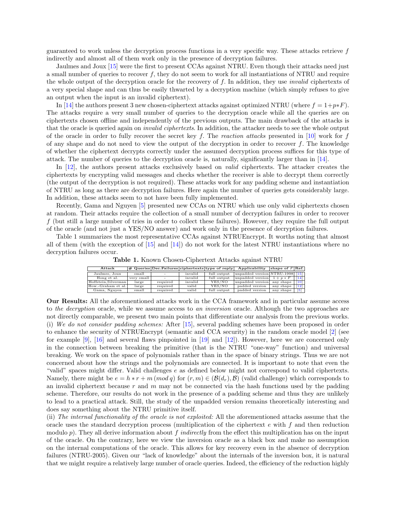guaranteed to work unless the decryption process functions in a very specific way. These attacks retrieve f indirectly and almost all of them work only in the presence of decryption failures.

Jaulmes and Joux [\[15\]](#page-11-4) were the first to present CCAs against NTRU. Even though their attacks need just a small number of queries to recover  $f$ , they do not seem to work for all instantiations of NTRU and require the whole output of the decryption oracle for the recovery of f. In addition, they use *invalid* ciphertexts of a very special shape and can thus be easily thwarted by a decryption machine (which simply refuses to give an output when the input is an invalid ciphertext).

In [\[14\]](#page-11-5) the authors present 3 new chosen-ciphertext attacks against optimized NTRU (where  $f = 1+p*F$ ). The attacks require a very small number of queries to the decryption oracle while all the queries are on ciphertexts chosen offline and independently of the previous outputs. The main drawback of the attacks is that the oracle is queried again on *invalid ciphertexts*. In addition, the attacker needs to see the whole output of the oracle in order to fully recover the secret key f. The reaction attacks presented in  $[10]$  work for f of any shape and do not need to view the output of the decryption in order to recover  $f$ . The knowledge of whether the ciphertext decrypts correctly under the assumed decryption process suffices for this type of attack. The number of queries to the decryption oracle is, naturally, significantly larger than in [\[14\]](#page-11-5).

In [\[12\]](#page-11-7), the authors present attacks exclusively based on *valid* ciphertexts. The attacker creates the ciphertexts by encrypting valid messages and checks whether the receiver is able to decrypt them correctly (the output of the decryption is not required). These attacks work for any padding scheme and instantiation of NTRU as long as there are decryption failures. Here again the number of queries gets considerably large. In addition, these attacks seem to not have been fully implemented.

Recently, Gama and Nguyen [\[5\]](#page-11-8) presented new CCAs on NTRU which use only valid ciphertexts chosen at random. Their attacks require the collection of a small number of decryption failures in order to recover f (but still a large number of tries in order to collect these failures). However, they require the full output of the oracle (and not just a YES/NO answer) and work only in the presence of decryption failures.

Table [1](#page-1-0) summarizes the most representative CCAs against NTRUEncrypt. It worths noting that almost all of them (with the exception of  $[15]$  and  $[14]$ ) do not work for the latest NTRU instantiations where no decryption failures occur.

| Attack              |            |          |         | $#$ Queries Dec. Failures ciphertexts type of reply | Applicability                   | shape of $F[Ref.]$ |                              |
|---------------------|------------|----------|---------|-----------------------------------------------------|---------------------------------|--------------------|------------------------------|
| Jaulmes, Joux       | small      |          | invalid | full output                                         | unpadded version NTRU-1998 [15] |                    |                              |
| Hong et al.         | very small |          | invalid | full output                                         | unpadded version                | $+ p * F$          | $\vert 14 \vert$             |
| Hoffstein.Silverman | large      | required | invalid | YES/NO                                              | unpadded version                | any shape          | [10]                         |
| How.-Graham et al.  | large      | required | valid   | YES/NO                                              | padded version                  | any shape          | $\left\lceil 12\right\rceil$ |
| Gama, Nguyen        | small      | required | valid   | full output                                         | padded version                  | any shape          | $\lceil 5 \rceil$            |

<span id="page-1-0"></span>Table 1. Known Chosen-Ciphertext Attacks against NTRU

Our Results: All the aforementioned attacks work in the CCA framework and in particular assume access to the decryption oracle, while we assume access to an inversion oracle. Although the two approaches are not directly comparable, we present two main points that differentiate our analysis from the previous works. (i) We do not consider padding schemes: After [\[15\]](#page-11-4), several padding schemes have been proposed in order to enhance the security of NTRUEncrypt (semantic and CCA security) in the random oracle model [\[2\]](#page-11-9) (see for example [\[9\]](#page-11-10), [\[16\]](#page-11-11) and several flaws pinpointed in [\[19\]](#page-11-12) and [\[12\]](#page-11-7)). However, here we are concerned only in the connection between breaking the primitive (that is the NTRU "one-way" function) and universal breaking. We work on the space of polynomials rather than in the space of binary strings. Thus we are not concerned about how the strings and the polynomials are connected. It is important to note that even the "valid" spaces might differ. Valid challenges e as defined below might not correspond to valid ciphertexts. Namely, there might be  $e = h * r + m \pmod{q}$  for  $(r, m) \in (\mathcal{B}(d_r), \mathcal{B})$  (valid challenge) which corresponds to an invalid ciphertext because  $r$  and  $m$  may not be connected via the hash functions used by the padding scheme. Therefore, our results do not work in the presence of a padding scheme and thus they are unlikely to lead to a practical attack. Still, the study of the unpadded version remains theoretically interesting and does say something about the NTRU primitive itself.

(ii) The internal functionality of the oracle is not exploited: All the aforementioned attacks assume that the oracle uses the standard decryption process (multiplication of the ciphertext  $e$  with  $f$  and then reduction modulo  $p$ ). They all derive information about f *indirectly* from the effect this multiplication has on the input of the oracle. On the contrary, here we view the inversion oracle as a black box and make no assumption on the internal computations of the oracle. This allows for key recovery even in the absence of decryption failures (NTRU-2005). Given our "lack of knowledge" about the internals of the inversion box, it is natural that we might require a relatively large number of oracle queries. Indeed, the efficiency of the reduction highly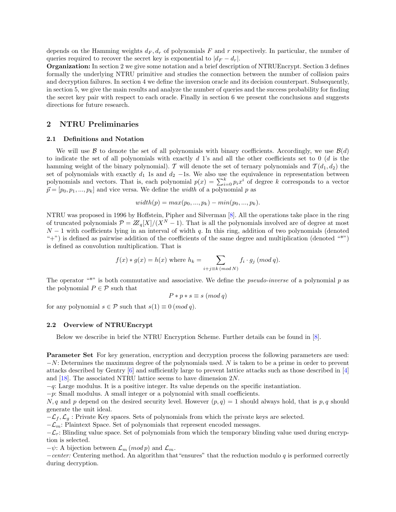depends on the Hamming weights  $d_F$ ,  $d_F$  of polynomials F and r respectively. In particular, the number of queries required to recover the secret key is exponential to  $|d_F - d_r|$ .

Organization: In section [2](#page-2-0) we give some notation and a brief description of NTRUEncrypt. Section [3](#page-4-0) defines formally the underlying NTRU primitive and studies the connection between the number of collision pairs and decryption failures. In section [4](#page-5-0) we define the inversion oracle and its decision counterpart. Subsequently, in section [5,](#page-5-1) we give the main results and analyze the number of queries and the success probability for finding the secret key pair with respect to each oracle. Finally in section [6](#page-10-0) we present the conclusions and suggests directions for future research.

# <span id="page-2-0"></span>2 NTRU Preliminaries

#### 2.1 Definitions and Notation

We will use  $\mathcal B$  to denote the set of all polynomials with binary coefficients. Accordingly, we use  $\mathcal B(d)$ to indicate the set of all polynomials with exactly d 1's and all the other coefficients set to 0 (d is the hamming weight of the binary polynomial). T will denote the set of ternary polynomials and  $T(d_1, d_2)$  the set of polynomials with exactly  $d_1$  1s and  $d_2$  −1s. We also use the equivalence in representation between polynomials and vectors. That is, each polynomial  $p(x) = \sum_{i=0}^{k} p_i x^i$  of degree k corresponds to a vector  $\vec{p} = [p_0, p_1, ..., p_k]$  and vice versa. We define the *width* of a polynomial p as

$$
width(p) = max(p_0, ..., p_k) - min(p_0, ..., p_k).
$$

NTRU was proposed in 1996 by Hoffstein, Pipher and Silverman [\[8\]](#page-11-13). All the operations take place in the ring of truncated polynomials  $\mathcal{P} = \mathbb{Z}_q[X]/(X^N - 1)$ . That is all the polynomials involved are of degree at most  $N-1$  with coefficients lying in an interval of width q. In this ring, addition of two polynomials (denoted "+") is defined as pairwise addition of the coefficients of the same degree and multiplication (denoted "\*") is defined as convolution multiplication. That is

$$
f(x) * g(x) = h(x) \text{ where } h_k = \sum_{i+j \equiv k \pmod{N}} f_i \cdot g_j \pmod{q}.
$$

The operator "\*" is both commutative and associative. We define the *pseudo-inverse* of a polynomial  $p$  as the polynomial  $P \in \mathcal{P}$  such that

$$
P * p * s \equiv s \ (mod \ q)
$$

for any polynomial  $s \in \mathcal{P}$  such that  $s(1) \equiv 0 \pmod{q}$ .

#### 2.2 Overview of NTRUEncrypt

Below we describe in brief the NTRU Encryption Scheme. Further details can be found in [\[8\]](#page-11-13).

Parameter Set For key generation, encryption and decryption process the following parameters are used:  $-N$ : Determines the maximum degree of the polynomials used. N is taken to be a prime in order to prevent attacks described by Gentry [\[6\]](#page-11-14) and sufficiently large to prevent lattice attacks such as those described in [\[4\]](#page-11-15) and  $[18]$ . The associated NTRU lattice seems to have dimension  $2N$ .

 $-q$ : Large modulus. It is a positive integer. Its value depends on the specific instantiation.

 $-p$ : Small modulus. A small integer or a polynomial with small coefficients.

N, q and p depend on the desired security level. However  $(p, q) = 1$  should always hold, that is p, q should generate the unit ideal.

 $-\mathcal{L}_f, \mathcal{L}_g$ : Private Key spaces. Sets of polynomials from which the private keys are selected.

 $-\mathcal{L}_m$ : Plaintext Space. Set of polynomials that represent encoded messages.

 $-\mathcal{L}_r$ : Blinding value space. Set of polynomials from which the temporary blinding value used during encryption is selected.

 $-\psi$ : A bijection between  $\mathcal{L}_m \, (mod \, p)$  and  $\mathcal{L}_m$ .

 $-center:$  Centering method. An algorithm that "ensures" that the reduction modulo  $q$  is performed correctly during decryption.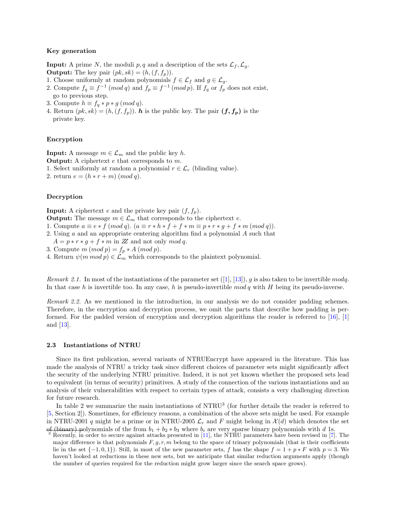#### Key generation

**Input:** A prime N, the moduli p, q and a description of the sets  $\mathcal{L}_f$ ,  $\mathcal{L}_g$ . **Output:** The key pair  $(pk, sk) = (h, (f, f_p)).$ 

- 1. Choose uniformly at random polynomials  $f \in \mathcal{L}_f$  and  $g \in \mathcal{L}_g$ .
- 2. Compute  $f_q \equiv f^{-1} \pmod{q}$  and  $f_p \equiv f^{-1} \pmod{p}$ . If  $f_q$  or  $f_p$  does not exist, go to previous step.
- 3. Compute  $h \equiv f_q * p * g \pmod{q}$ .
- 4. Return  $(pk, sk) = (h, (f, f_p))$ . h is the public key. The pair  $(f, f_p)$  is the private key.

#### Encryption

**Input:** A message  $m \in \mathcal{L}_m$  and the public key h. Output: A ciphertext e that corresponds to m. 1. Select uniformly at random a polynomial  $r \in \mathcal{L}_r$  (blinding value). 2. return  $e = (h * r + m)$  (mod q).

#### Decryption

**Input:** A ciphertext e and the private key pair  $(f, f_p)$ .

**Output:** The message  $m \in \mathcal{L}_m$  that corresponds to the ciphertext  $e$ .

- 1. Compute  $a \equiv e * f \pmod{q}$ .  $(a \equiv r * h * f + f * m \equiv p * r * g + f * m \pmod{q}$ .
- 2. Using a and an appropriate centering algorithm find a polynomial A such that
- $A = p * r * g + f * m$  in  $Z$  and not only mod q.
- 3. Compute  $m \ (mod \ p) = f_p * A \ (mod \ p).$
- 4. Return  $\psi(m \mod p) \in \mathcal{L}_m$  which corresponds to the plaintext polynomial.

Remark 2.1. In most of the instantiations of the parameter set  $([1], [13])$  $([1], [13])$  $([1], [13])$  $([1], [13])$  $([1], [13])$ , g is also taken to be invertible modq. In that case h is invertible too. In any case, h is pseudo-invertible  $mod\,q$  with H being its pseudo-inverse.

Remark 2.2. As we mentioned in the introduction, in our analysis we do not consider padding schemes. Therefore, in the encryption and decryption process, we omit the parts that describe how padding is performed. For the padded version of encryption and decryption algorithms the reader is referred to [\[16\]](#page-11-11), [\[1\]](#page-11-3) and [\[13\]](#page-11-17).

#### 2.3 Instantiations of NTRU

Since its first publication, several variants of NTRUEncrypt have appeared in the literature. This has made the analysis of NTRU a tricky task since different choices of parameter sets might significantly affect the security of the underlying NTRU primitive. Indeed, it is not yet known whether the proposed sets lead to equivalent (in terms of security) primitives. A study of the connection of the various instantiations and an analysis of their vulnerabilities with respect to certain types of attack, consists a very challenging direction for future research.

In table [2](#page-4-1) we summarize the main instantiations of  $\rm{NTRU}^3$  $\rm{NTRU}^3$  (for further details the reader is referred to [\[5,](#page-11-8) Section 2]). Sometimes, for efficiency reasons, a combination of the above sets might be used. For example in NTRU-2001 q might be a prime or in NTRU-2005  $\mathcal{L}_r$  and F might belong in  $\mathcal{X}(d)$  which denotes the set of (binary) polynomials of the from  $b_1 + b_2 * b_3$  where  $b_i$  are very sparse binary polynomials with d 1s.

<span id="page-3-0"></span>Recently, in order to secure against attacks presented in [\[11\]](#page-11-18), the NTRU parameters have been revised in [\[7\]](#page-11-19). The major difference is that polynomials  $F, g, r, m$  belong to the space of trinary polynomials (that is their coefficients lie in the set  $\{-1, 0, 1\}$ . Still, in most of the new parameter sets, f has the shape  $f = 1 + p * F$  with  $p = 3$ . We haven't looked at reductions in these new sets, but we anticipate that similar reduction arguments apply (though the number of queries required for the reduction might grow larger since the search space grows).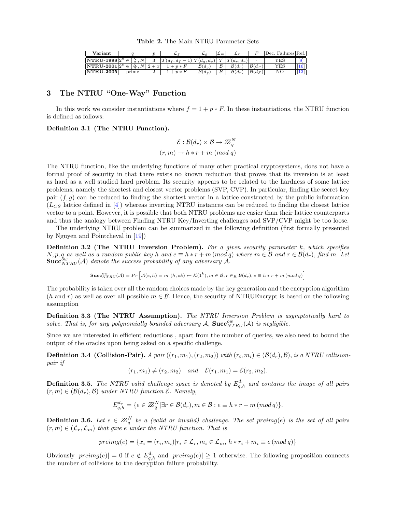<span id="page-4-1"></span>Table 2. The Main NTRU Parameter Sets

| Variant                                   |                      |                        | ~                             | $-a$               | $\sim$ m |                          |                          | Dec. Failures Ref. |                |
|-------------------------------------------|----------------------|------------------------|-------------------------------|--------------------|----------|--------------------------|--------------------------|--------------------|----------------|
| $ {\rm NTRU\text{-}1998} 2^k \in \lbrack$ | $\frac{N}{2}, N$     |                        | $\mathfrak{a}$<br>$af$ ,<br>- | $a_g$ ,<br>$a_q,$  |          | $\mathcal{T}(d_r, d_r)$  | $\overline{\phantom{a}}$ | YES                | $\overline{8}$ |
| $ NTRU-2001 2^k$                          | N<br>$\frac{N}{2}$ . | 12<br>$\boldsymbol{x}$ |                               | $\mathcal{A}(d_q)$ |          | $d_{r}$                  | $\mathcal{B}(d_F)$       | YES                | 16'            |
| $\vert\mathrm{NTRU}\text{-}2005\vert$     | prime                |                        | $n*$                          | $a_a$              |          | $\mathcal{L}$<br>$d_{r}$ | $\mathcal{B}(d_F)$       | NΟ                 | $13^{\circ}$   |

### <span id="page-4-0"></span>3 The NTRU "One-Way" Function

In this work we consider instantiations where  $f = 1 + p * F$ . In these instantiations, the NTRU function is defined as follows:

#### Definition 3.1 (The NTRU Function).

 $\mathcal{E}: \mathcal{B}(d_r) \times \mathcal{B} \rightarrow \mathbb{Z}_q^N$  $(r, m) \rightarrow h * r + m \pmod{q}$ 

The NTRU function, like the underlying functions of many other practical cryptosystems, does not have a formal proof of security in that there exists no known reduction that proves that its inversion is at least as hard as a well studied hard problem. Its security appears to be related to the hardness of some lattice problems, namely the shortest and closest vector problems (SVP, CVP). In particular, finding the secret key pair  $(f, g)$  can be reduced to finding the shortest vector in a lattice constructed by the public information  $(L_{CS}$  lattice defined in [\[4\]](#page-11-15)) whereas inverting NTRU instances can be reduced to finding the closest lattice vector to a point. However, it is possible that both NTRU problems are easier than their lattice counterparts and thus the analogy between Finding NTRU Key/Inverting challenges and SVP/CVP might be too loose.

The underlying NTRU problem can be summarized in the following definition (first formally presented by Nguyen and Pointcheval in [\[19\]](#page-11-12))

Definition 3.2 (The NTRU Inversion Problem). For a given security parameter k, which specifies  $N, p, q$  as well as a random public key h and  $e \equiv h * r + m \pmod{q}$  where  $m \in \mathcal{B}$  and  $r \in \mathcal{B}(d_r)$ , find m. Let  $\widetilde{\text{Succ}}_{NTRU}^{\tilde{ow}}(\mathcal{A})$  denote the success probability of any adversary  $\mathcal{A}.$ 

$$
\mathbf{Succ}^{ow}_{NTRU}(\mathcal{A}) = Pr\left[\mathcal{A}(e,h) = m \middle| (h,sk) \leftarrow \mathcal{K}(1^k), m \in \mathcal{B}, r \in_R \mathcal{B}(d_r), e \equiv h * r + m \ (mod \ q) \right]
$$

The probability is taken over all the random choices made by the key generation and the encryption algorithm (h and r) as well as over all possible  $m \in \mathcal{B}$ . Hence, the security of NTRUEncrypt is based on the following assumption

Definition 3.3 (The NTRU Assumption). The NTRU Inversion Problem is asymptotically hard to solve. That is, for any polynomially bounded adversary  $A$ ,  $\text{Succ}_{NTRU}^{ow}(A)$  is negligible.

Since we are interested in efficient reductions , apart from the number of queries, we also need to bound the output of the oracles upon being asked on a specific challenge.

**Definition 3.4 (Collision-Pair).** A pair  $((r_1, m_1), (r_2, m_2))$  with  $(r_i, m_i) \in (\mathcal{B}(d_r), \mathcal{B})$ , is a NTRU collisionpair if

$$
(r_1, m_1) \neq (r_2, m_2) \quad and \quad \mathcal{E}(r_1, m_1) = \mathcal{E}(r_2, m_2).
$$

**Definition 3.5.** The NTRU valid challenge space is denoted by  $E_{q,h}^{d_r}$  and contains the image of all pairs  $(r, m) \in (\mathcal{B}(d_r), \mathcal{B})$  under NTRU function  $\mathcal{E}$ . Namely,

$$
E_{q,h}^{d_r} = \{ e \in \mathbb{Z}_q^N \, | \, \exists r \in \mathcal{B}(d_r), m \in \mathcal{B} : e \equiv h * r + m \, (mod \, q) \}.
$$

**Definition 3.6.** Let  $e \in \mathbb{Z}_q^N$  be a (valid or invalid) challenge. The set preimg(e) is the set of all pairs  $(r, m) \in (\mathcal{L}_r, \mathcal{L}_m)$  that give e under the NTRU function. That is

<span id="page-4-2"></span>
$$
preimg(e) = \{x_i = (r_i, m_i) | r_i \in \mathcal{L}_r, m_i \in \mathcal{L}_m, h * r_i + m_i \equiv e \pmod{q}\}\
$$

Obviously  $|preimg(e)| = 0$  if  $e \notin E_{q,h}^{d_r}$  and  $|preimg(e)| \geq 1$  otherwise. The following proposition connects the number of collisions to the decryption failure probability.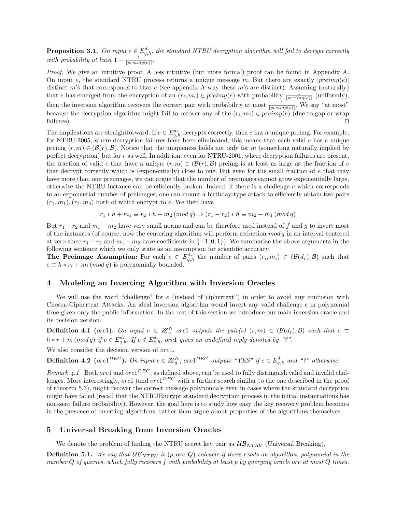**Proposition 3.1.** On input  $e \in E_{q,h}^{d_r}$ , the standard NTRU decryption algorithm will fail to decrypt correctly with probability at least  $1 - \frac{1}{|preimg(e)|}$ .

Proof. We give an intuitive proof. A less intuitive (but more formal) proof can be found in Appendix [A.](#page-12-0) On input e, the standard NTRU process returns a unique message m. But there are exactly  $|preim(e)|$ distinct  $m'$ s that corresponds to that e (see appendix [A](#page-12-0) why these  $m'$ s are distinct). Assuming (naturally) that e has emerged from the encryption of an  $(r_i, m_i) \in preimg(e)$  with probability  $\frac{1}{|preimg(e)|}$  (uniformly), then the inversion algorithm recovers the correct pair with probability at most  $\frac{1}{|preimg(e)|}$ . We say "at most" because the decryption algorithm might fail to recover any of the  $(r_i, m_i) \in preimg(e)$  (due to gap or wrap  $f$ ailures).  $\hfill\Box$ 

The implications are straightforward. If  $e \in E_{q,h}^{d_r}$  decrypts correctly, then e has a unique preimg. For example, for NTRU-2005, where decryption failures have been eliminated, this means that each valid e has a unique preimg  $(r, m) \in (\mathcal{B}(r), \mathcal{B})$ . Notice that the uniqueness holds not only for m (something naturally implied by perfect decryption) but for r as well. In addition, even for NTRU-2001, where decryption failures are present, the fraction of valid e that have a unique  $(r, m) \in (\mathcal{B}(r), \mathcal{B})$  preimg is at least as large as the fraction of e that decrypt correctly which is (exponentially) close to one. But even for the small fraction of e that may have more than one preimages, we can argue that the number of preimages cannot grow exponentially large, otherwise the NTRU instance can be efficiently broken. Indeed, if there is a challenge  $e$  which corresponds to an exponential number of preimages, one can mount a birthday-type attack to efficiently obtain two pairs  $(r_1, m_1), (r_2, m_2)$  both of which encrypt to e. We then have

$$
r_1 * h + m_1 \equiv r_2 * h + m_2 \, (mod \, q) \Rightarrow (r_1 - r_2) * h \equiv m_2 - m_1 \, (mod \, q)
$$

But  $r_1 - r_2$  and  $m_1 - m_2$  have very small norms and can be therefore used instead of f and g to invert most of the instances (of course, now the centering algorithm will perform reduction  $mod q$  in an interval centered at zero since  $r_1 - r_2$  and  $m_1 - m_2$  have coefficients in  $\{-1, 0, 1\}$ . We summarize the above arguments in the following sentence which we only state as an assumption for scientific accuracy.

**The Preimage Assumption:** For each  $e \in E_{q,h}^{d_r}$  the number of pairs  $(r_i,m_i) \in (\mathcal{B}(d_r),\mathcal{B})$  such that  $e \equiv h * r_i + m_i \pmod{q}$  is polynomially bounded.

### <span id="page-5-0"></span>4 Modeling an Inverting Algorithm with Inversion Oracles

We will use the word "challenge" for  $e$  (instead of "ciphertext") in order to avoid any confusion with Chosen-Ciphertext Attacks. An ideal inversion algorithm would invert any valid challenge e in polynomial time given only the public information. In the rest of this section we introduce our main inversion oracle and its decision version.

**Definition 4.1** (orc1). On input  $e \in \mathbb{Z}_q^N$  orc1 outputs the pair(s)  $(r,m) \in (\mathcal{B}(d_r),\mathcal{B})$  such that  $e \equiv$  $h * r + m \ (mod \ q)$  if  $e \in E_{q,h}^{d_r}$ . If  $e \notin E_{q,h}^{d_r}$ , orcl gives an undefined reply denoted by "?".

We also consider the decision version of orc1.

**Definition 4.2** (orc $1^{DEC}$ ). On input  $e \in \mathbb{Z}_q^N$ , orc $1^{DEC}$  outputs "YES" if  $e \in E_{q,h}^{d_r}$  and "?" otherwise.

Remark 4.1. Both orc1 and orc $1^{DEC}$ , as defined above, can be used to fully distinguish valid and invalid challenges. More interestingly,  $orc1$  (and  $orc1^{DEC}$  with a further search similar to the one described in the proof of theorem [5.3\)](#page-8-0), might recover the correct message polynomials even in cases where the standard decryption might have failed (recall that the NTRUEncrypt standard decryption process in the initial instantiations has non-zero failure probability). However, the goal here is to study how easy the key recovery problem becomes in the presence of inverting algorithms, rather than argue about properties of the algorithms themselves.

### <span id="page-5-1"></span>5 Universal Breaking from Inversion Oracles

We denote the problem of finding the NTRU secret key pair as  $\mathcal{UB}_{NTRU}$  (Universal Breaking).

**Definition 5.1.** We say that  $UB_{NTRU}$  is  $(p, orc, Q)$ -solvable if there exists an algorithm, polynomial in the number Q of queries, which fully recovers f with probability at least p by querying oracle orc at most Q times.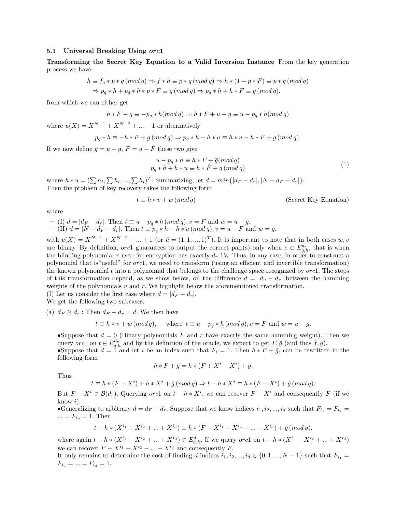#### 5.1 Universal Breaking Using orc1

Transforming the Secret Key Equation to a Valid Inversion Instance From the key generation process we have

$$
h \equiv f_q * p * g \pmod{q} \Rightarrow f * h \equiv p * g \pmod{q} \Rightarrow h * (1 + p * F) \equiv p * g \pmod{q}
$$
  
\n
$$
\Rightarrow p_q * h + p_q * h * p * F \equiv g \pmod{q} \Rightarrow p_q * h + h * F \equiv g \pmod{q}.
$$

from which we can either get

$$
h * F - g \equiv -p_q * h \pmod{q} \Rightarrow h * F + u - g \equiv u - p_q * h \pmod{q}
$$

where  $u(X) = X^{N-1} + X^{N-2} + ... + 1$  or alternatively

$$
p_q * h \equiv -h * F + g \pmod{q} \Rightarrow p_q * h + h * u \equiv h * u - h * F + g \pmod{q}.
$$

If we now define  $\bar{g} = u - g$ ,  $\bar{F} = u - F$  these two give

<span id="page-6-0"></span>
$$
u - p_q * h \equiv h * F + \bar{g}(\text{mod } q)
$$
  
\n
$$
p_q * h + h * u \equiv h * \bar{F} + g(\text{mod } q)
$$
\n(1)

where  $h * u = (\sum h_i, \sum h_i, ..., \sum h_i)^T$ . Summarizing, let  $d = min\{|d_F - d_r|, |N - d_F - d_r|\}.$ Then the problem of key recovery takes the following form

$$
t \equiv h * v + w \, (mod \, q)
$$
 (Secret Key Equation)

where

- (I) 
$$
d = |d_F - d_r|
$$
. Then  $t \equiv u - p_q * h \pmod{q}$ ,  $v = F$  and  $w = u - g$ .  
\n- (II)  $d = |N - d_F - d_r|$ . Then  $t \equiv p_q * h + h * u \pmod{q}$ ,  $v = u - F$  and  $w = g$ .

with  $u(X) = X^{N-1} + X^{N-2} + ... + 1$  (or  $\vec{u} = (1, 1, ..., 1)^T$ ). It is important to note that in both cases  $w, v$ are binary. By definition, orc1 guarantees to output the correct pair(s) only when  $e \in E_{q,h}^{d_r}$ , that is when the blinding polynomial r used for encryption has exactly  $d_r$  1's. Thus, in any case, in order to construct a polynomial that is"useful" for orc1, we need to transform (using an efficient and invertible transformation) the known polynomial t into a polynomial that belongs to the challenge space recognized by orc1. The steps of this transformation depend, as we show below, on the difference  $d = |d_v - d_r|$  between the hamming weights of the polynomials  $v$  and  $r$ . We highlight below the aforementioned transformation.

(I) Let us consider the first case where  $d = |d_F - d_r|$ .

We get the following two subcases:

(a)  $d_F \geq d_r$ : Then  $d_F - d_r = d$ . We then have

$$
t \equiv h * v + w \pmod{q}
$$
, where  $t \equiv u - p_q * h \pmod{q}$ ,  $v = F$  and  $w = u - g$ .

•Suppose that  $d = 0$  (Binary polynomials F and r have exactly the same hamming weight). Then we query orc1 on  $t \in E_{q,h}^{d_r}$  and by the definition of the oracle, we expect to get  $F, \bar{g}$  (and thus  $f, g$ ). •Suppose that  $d = 1$  and let i be an index such that  $F_i = 1$ . Then  $h * F + \bar{g}$ , can be rewritten in the following form

$$
h * F + \bar{g} = h * (F + X^{i} - X^{i}) + \bar{g},
$$

Thus

$$
t \equiv h * (F - Xi) + h * Xi + \overline{g} (mod q) \Rightarrow t - h * Xi \equiv h * (F - Xi) + \overline{g} (mod q).
$$

But  $F - X^i \in \mathcal{B}(d_r)$ . Querying orc1 on  $t - h * X^i$ , we can recover  $F - X^i$  and consequently F (if we know i).

•Generalizing to arbitrary  $d = d_F - d_r$ . Suppose that we know indices  $i_1, i_2, ..., i_d$  such that  $F_{i_1} = F_{i_2} =$  $... = F_{i_d} = 1$ . Then

$$
t-h*(X^{i_1}+X^{i_2}+\ldots+X^{i_d}) \equiv h*(F-X^{i_1}-X^{i_2}-\ldots-X^{i_d})+\bar{g} \pmod{q}.
$$

where again  $t - h * (X^{i_1} + X^{i_2} + ... + X^{i_d}) \in E_{q,h}^{d_r}$ . If we query  $orcl$  on  $t - h * (X^{i_1} + X^{i_2} + ... + X^{i_d})$ we can recover  $F - X^{i_1} - X^{i_2} - ... - X^{i_d}$  and consequently F.

It only remains to determine the cost of finding d indices  $i_1, i_2, ..., i_d \in \{0, 1, ..., N-1\}$  such that  $F_{i_1} =$  $F_{i_2} = ... = F_{i_d} = 1.$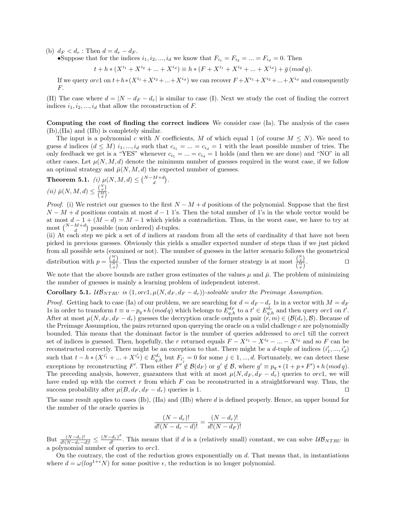- (b)  $d_F < d_r$ : Then  $d = d_r d_F$ .
	- •Suppose that for the indices  $i_1, i_2, ..., i_d$  we know that  $F_{i_1} = F_{i_2} = ... = F_{i_d} = 0$ . Then
		- $t + h * (X^{i_1} + X^{i_2} + ... + X^{i_d}) \equiv h * (F + X^{i_1} + X^{i_2} + ... + X^{i_d}) + \bar{g} (mod \ q).$

If we query orc1 on  $t+h*(X^{i_1}+X^{i_2}+\ldots+X^{i_d})$  we can recover  $F+X^{i_1}+X^{i_2}+\ldots+X^{i_d}$  and consequently F.

(II) The case where  $d = |N - d_F - d_r|$  is similar to case (I). Next we study the cost of finding the correct indices  $i_1, i_2, ..., i_d$  that allow the reconstruction of F.

Computing the cost of finding the correct indices We consider case (Ia). The analysis of the cases (Ib),(IIa) and (IIb) is completely similar.

The input is a polynomial c with N coefficients, M of which equal 1 (of course  $M \leq N$ ). We need to guess d indices  $(d \leq M)$   $i_1, ..., i_d$  such that  $c_{i_1} = ... = c_{i_d} = 1$  with the least possible number of tries. The only feedback we get is a "YES" whenever  $c_{i_1} = ... = c_{i_d} = 1$  holds (and then we are done) and "NO" in all other cases. Let  $\mu(N, M, d)$  denote the minimum number of guesses required in the worst case, if we follow an optimal strategy and  $\bar{\mu}(N, M, d)$  the expected number of guesses.

<span id="page-7-0"></span>**Theorem 5.1.** (i) 
$$
\mu(N, M, d) \leq {N-M+d \choose d}
$$
.  
(ii)  $\bar{\mu}(N, M, d) \leq \frac{{N \choose d}}{{M \choose d}}$ .

*Proof.* (i) We restrict our guesses to the first  $N - M + d$  positions of the polynomial. Suppose that the first  $N-M+d$  positions contain at most  $d-1$  1's. Then the total number of 1's in the whole vector would be at most  $d-1 + (M - d) = M - 1$  which yields a contradiction. Thus, in the worst case, we have to try at most  $\binom{N-M+d}{d}$  possible (non ordered) d-tuples.

(ii) At each step we pick a set of  $d$  indices at random from all the sets of cardinality  $d$  that have not been picked in previous guesses. Obviously this yields a smaller expected number of steps than if we just picked from all possible sets (examined or not). The number of guesses in the latter scenario follows the geometrical distribution with  $p = \frac{\binom{M}{d}}{\binom{N}{M}}$  $\binom{M}{d}$ . Thus the expected number of the former strategy is at most  $\binom{N}{d}$ .  $\overline{\binom{M}{d}}$  $\Box$ 

We note that the above bounds are rather gross estimates of the values  $\mu$  and  $\bar{\mu}$ . The problem of minimizing the number of guesses is mainly a learning problem of independent interest.

Corollary 5.1. UB<sub>NTRU</sub> is  $(1, ord, \mu(N, d_F, d_F - d_r))$ -solvable under the Preimage Assumption.

*Proof.* Getting back to case (Ia) of our problem, we are searching for  $d = d_F - d_r$  1s in a vector with  $M = d_F$ 1s in order to transform  $t \equiv u - p_q * h \pmod{q}$  which belongs to  $E_{q,h}^{d_F}$  to a  $t' \in E_{q,h}^{d_r}$  and then query orc1 on t'. After at most  $\mu(N, d_F, d_F - d_r)$  guesses the decryption oracle outputs a pair  $(r, m) \in (\mathcal{B}(d_r), \mathcal{B})$ . Because of the Preimage Assumption, the pairs returned upon querying the oracle on a valid challenge  $e$  are polynomially bounded. This means that the dominant factor is the number of queries addressed to orc1 till the correct set of indices is guessed. Then, hopefully, the r returned equals  $F - X^{i_1} - X^{i_2} - ... - X^{i_d}$  and so F can be reconstructed correctly. There might be an exception to that. There might be a d-tuple of indices  $(i'_1, ..., i'_d)$ such that  $t - h * (X^{i'_1} + ... + X^{i'_d}) \in E_{q,h}^{d_r}$  but  $F_{i'_j} = 0$  for some  $j \in 1, ..., d$ . Fortunately, we can detect these exceptions by reconstructing F'. Then either  $F' \notin \mathcal{B}(d_F)$  or  $g' \notin \mathcal{B}$ , where  $g' \equiv p_q * (1 + p * F') * h \pmod{q}$ . The preceding analysis, however, guarantees that with at most  $\mu(N, d_F, d_F - d_r)$  queries to orc1, we will have ended up with the correct  $r$  from which  $F$  can be reconstructed in a straightforward way. Thus, the success probability after  $\mu(B, d_F, d_F - d_r)$  queries is 1.

The same result applies to cases (Ib), (IIa) and (IIb) where d is defined properly. Hence, an upper bound for the number of the oracle queries is

$$
\frac{(N-d_r)!}{d!(N-d_r-d)!} = \frac{(N-d_r)!}{d!(N-d_F)!}
$$

But  $\frac{(N-d_r)!}{d!(N-d_r-d)!} \leq \frac{(N-d_r)^d}{d!}$  $\frac{d}{d!}$ . This means that if d is a (relatively small) constant, we can solve  $\mathcal{UB}_{NTRU}$  in a polynomial number of queries to orc1.

On the contrary, the cost of the reduction grows exponentially on  $d$ . That means that, in instantiations where  $d = \omega(\log^{1+\epsilon}N)$  for some positive  $\epsilon$ , the reduction is no longer polynomial.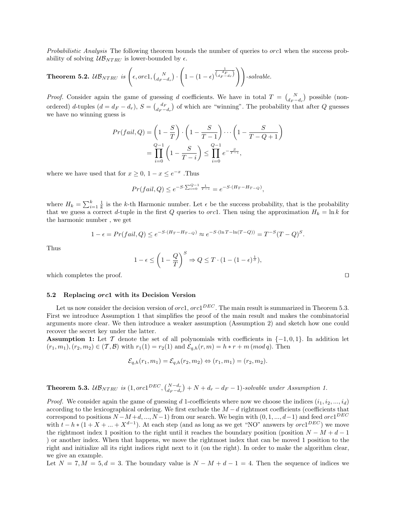Probabilistic Analysis The following theorem bounds the number of queries to orc1 when the success probability of solving  $UB_{NTRU}$  is lower-bounded by  $\epsilon$ .

**Theorem 5.2.** 
$$
UB_{NTRU}
$$
 is  $\left(\epsilon, \text{orc1}, {N \choose d_F - d_T} \cdot \left(1 - (1 - \epsilon)^{\frac{1}{\left(d_F - d_T\right)}}\right)\right)$ -solvable.

*Proof.* Consider again the game of guessing d coefficients. We have in total  $T = \begin{pmatrix} N \ d_F - d_T \end{pmatrix}$  possible (nonordered) d-tuples  $(d = d_F - d_r)$ ,  $S = \binom{d_F}{d_F - d_r}$  of which are "winning". The probability that after Q guesses we have no winning guess is

$$
Pr(fail, Q) = \left(1 - \frac{S}{T}\right) \cdot \left(1 - \frac{S}{T - 1}\right) \cdots \left(1 - \frac{S}{T - Q + 1}\right)
$$

$$
= \prod_{i=0}^{Q-1} \left(1 - \frac{S}{T - i}\right) \le \prod_{i=0}^{Q-1} e^{-\frac{S}{T - i}},
$$

where we have used that for  $x \geq 0$ ,  $1 - x \leq e^{-x}$ . Thus

$$
Pr(fail, Q) \le e^{-S \cdot \sum_{i=0}^{Q-1} \frac{1}{T-i}} = e^{-S \cdot (H_T - H_{T-Q})},
$$

where  $H_k = \sum_{i=1}^k \frac{1}{k}$  is the k-th Harmonic number. Let  $\epsilon$  be the success probability, that is the probability that we guess a correct d-tuple in the first Q queries to orc1. Then using the approximation  $H_k = \ln k$  for the harmonic number , we get

$$
1 - \epsilon = Pr(fail, Q) \le e^{-S \cdot (H_T - H_{T-Q})} \approx e^{-S \cdot (\ln T - \ln(T-Q))} = T^{-S} (T-Q)^S.
$$

Thus

$$
1 - \epsilon \le \left(1 - \frac{Q}{T}\right)^S \Rightarrow Q \le T \cdot (1 - (1 - \epsilon)^{\frac{1}{S}}),
$$

which completes the proof.  $\Box$ 

#### 5.2 Replacing orc1 with its Decision Version

Let us now consider the decision version of  $orc1, occ1^{DEC}$ . The main result is summarized in Theorem [5.3.](#page-8-0) First we introduce Assumption 1 that simplifies the proof of the main result and makes the combinatorial arguments more clear. We then introduce a weaker assumption (Assumption 2) and sketch how one could recover the secret key under the latter.

Assumption 1: Let T denote the set of all polynomials with coefficients in  $\{-1,0,1\}$ . In addition let  $(r_1, m_1), (r_2, m_2) \in (T, \mathcal{B})$  with  $r_1(1) = r_2(1)$  and  $\mathcal{E}_{q,h}(r, m) = h * r + m \pmod{q}$ . Then

$$
\mathcal{E}_{q,h}(r_1, m_1) = \mathcal{E}_{q,h}(r_2, m_2) \Leftrightarrow (r_1, m_1) = (r_2, m_2).
$$

<span id="page-8-0"></span>**Theorem 5.3.**  $\mathcal{UB}_{NTRU}$  is  $(1, or c1^{DEC}, {N-d_r \choose d_F-d_F} + N + d_r - d_F - 1)$ -solvable under Assumption 1.

*Proof.* We consider again the game of guessing d 1-coefficients where now we choose the indices  $(i_1, i_2, ..., i_d)$ according to the lexicographical ordering. We first exclude the  $M - d$  rightmost coefficients (coefficients that correspond to positions  $N-M+d, ..., N-1$  from our search. We begin with  $(0, 1, ..., d-1)$  and feed  $orc1^{DEC}$ with  $t - h * (1 + X + ... + X^{d-1})$ . At each step (and as long as we get "NO" answers by  $orc1^{DEC}$ ) we move the rightmost index 1 position to the right until it reaches the boundary position (position  $N - M + d - 1$ ) or another index. When that happens, we move the rightmost index that can be moved 1 position to the right and initialize all its right indices right next to it (on the right). In order to make the algorithm clear, we give an example.

Let  $N = 7, M = 5, d = 3$ . The boundary value is  $N - M + d - 1 = 4$ . Then the sequence of indices we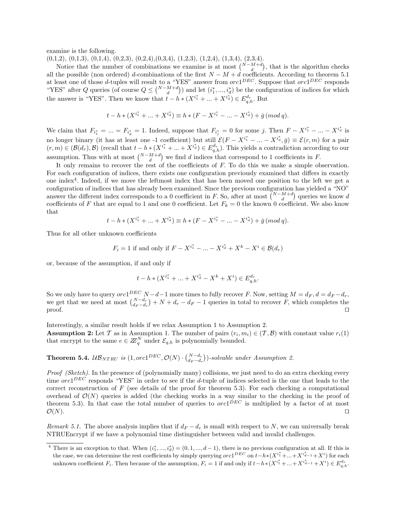examine is the following.

 $(0,1,2), (0,1,3), (0,1,4), (0,2,3), (0,2,4), (0,3,4), (1,2,3), (1,2,4), (1,3,4), (2,3,4).$ 

Notice that the number of combinations we examine is at most  $\binom{N-M+d}{d}$ , that is the algorithm checks all the possible (non ordered) d-combinations of the first  $N - M + d$  coefficients. According to theorem [5.1](#page-7-0) at least one of those d-tuples will result to a "YES" answer from  $or c1^{DEC}$ . Suppose that  $or c1^{DEC}$  responds "YES" after Q queries (of course  $Q \leq {N-M+d \choose d}$ ) and let  $(i_1^*,...,i_d^*)$  be the configuration of indices for which the answer is "YES". Then we know that  $t - h * (X^{i_1^*} + ... + X^{i_d^*}) \in E_{q,h}^{d_r}$ . But

$$
t - h * (X^{i_1^*} + \ldots + X^{i_d^*}) \equiv h * (F - X^{i_1^*} - \ldots - X^{i_d^*}) + \bar{g} \, (mod \, q).
$$

We claim that  $F_{i_1^*} = ... = F_{i_d^*} = 1$ . Indeed, suppose that  $F_{i_j^*} = 0$  for some j. Then  $F - X^{i_1^*} - ... - X^{i_d^*}$  is no longer binary (it has at least one -1 coefficient) but still  $\mathcal{E}(F - X^{i_1^*} - ... - X^{i_d^*}, \bar{g}) \equiv \mathcal{E}(r, m)$  for a pair  $(r, m) \in (\mathcal{B}(d_r), \mathcal{B})$  (recall that  $t - h * (X^{i_1^*} + ... + X^{i_d^*}) \in E_{q, h}^{d_r}$ ). This yields a contradiction according to our assumption. Thus with at most  $\binom{N-M+d}{d}$  we find d indices that correspond to 1 coefficients in F.

It only remains to recover the rest of the coefficients of F. To do this we make a simple observation. For each configuration of indices, there exists one configuration previously examined that differs in exactly one index<sup>[4](#page-9-0)</sup>. Indeed, if we move the leftmost index that has been moved one position to the left we get a configuration of indices that has already been examined. Since the previous configuration has yielded a "NO" answer the different index corresponds to a 0 coefficient in F. So, after at most  $\binom{N-M+d}{d}$  queries we know d coefficients of F that are equal to 1 and one 0 coefficient. Let  $F_k = 0$  the known 0 coefficient. We also know that

$$
t - h \ast (X^{i_1^*} + \ldots + X^{i_d^*}) \equiv h \ast (F - X^{i_1^*} - \ldots - X^{i_d^*}) + \bar{g} \, (mod \, q).
$$

Thus for all other unknown coefficients

$$
F_i=1
$$
 if and only if  $F-X^{i_1^*}-\ldots-X^{i_d^*}+X^k-X^i\in \mathcal{B}(d_r)$ 

or, because of the assumption, if and only if

$$
t - h * (X^{i_1^*} + \dots + X^{i_d^*} - X^k + X^i) \in E_{q,h}^{d_r}.
$$

So we only have to query  $\operatorname{orcl}^{DEC} N-d-1$  more times to fully recover F. Now, setting  $M = d_F, d = d_F - d_r$ , we get that we need at most  $\binom{N-d_r}{d_F-d_r} + N + d_r - d_F - 1$  queries in total to recover F, which completes the  $\Box$ 

Interestingly, a similar result holds if we relax Assumption 1 to Assumption 2.

**Assumption 2:** Let T as in Assumption 1. The number of pairs  $(r_i, m_i) \in (T, \mathcal{B})$  with constant value  $r_i(1)$ that encrypt to the same  $e \in \mathbb{Z}_q^N$  under  $\mathcal{E}_{q,h}$  is polynomially bounded.

**Theorem 5.4.** 
$$
UB_{NTRU}
$$
 is  $(1, orc1^{DEC}, \mathcal{O}(N) \cdot {N-d_r \choose d_F-d_r})$ -solvable under Assumption 2.

Proof (Sketch). In the presence of (polynomially many) collisions, we just need to do an extra checking every time  $\text{orcl}^{DEC}$  responds "YES" in order to see if the d-tuple of indices selected is the one that leads to the correct reconstruction of  $F$  (see details of the proof for theorem [5.3\)](#page-8-0). For each checking a computational overhead of  $\mathcal{O}(N)$  queries is added (the checking works in a way similar to the checking in the proof of theorem [5.3\)](#page-8-0). In that case the total number of queries to  $orct^{DEC}$  is multiplied by a factor of at most  $\mathcal{O}(N).$ 

Remark 5.1. The above analysis implies that if  $d_F - d_r$  is small with respect to N, we can universally break NTRUEncrypt if we have a polynomial time distinguisher between valid and invalid challenges.

<span id="page-9-0"></span><sup>&</sup>lt;sup>4</sup> There is an exception to that. When  $(i_1^*,...,i_d^*) = (0,1,...,d-1)$ , there is no previous configuration at all. If this is the case, we can determine the rest coefficients by simply querying  $\sigma r c_1^{DEC}$  on  $t-h*(X^{i_1^*}+...+X^{i_{d-1}^*}+X^{i})$  for each unknown coefficient  $F_i$ . Then because of the assumption,  $F_i = 1$  if and only if  $t - h * (X^{i_1^*} + ... + X^{i_{d-1}^*} + X^i) \in E_{q,h}^{d_r}$ .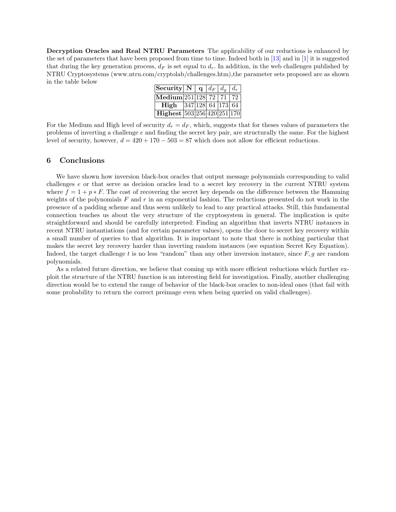Decryption Oracles and Real NTRU Parameters The applicability of our reductions is enhanced by the set of parameters that have been proposed from time to time. Indeed both in [\[13\]](#page-11-17) and in [\[1\]](#page-11-3) it is suggested that during the key generation process,  $d_F$  is set equal to  $d_r$ . In addition, in the web challenges published by NTRU Cryptosystems (www.ntru.com/cryptolab/challenges.htm),the parameter sets proposed are as shown in the table below

| <b>Security</b> $\vert \mathbf{N} \vert \mathbf{q} \vert d_F d_g d_r$ |  |  |  |
|-----------------------------------------------------------------------|--|--|--|
| $ \text{Median} 251 128 72 71 72$                                     |  |  |  |
| <b>High</b> $ 347 128 64 173 64$                                      |  |  |  |
| <b>Highest</b> 503 256 420 251 170                                    |  |  |  |

For the Medium and High level of security  $d_r = d_F$ , which, suggests that for theses values of parameters the problems of inverting a challenge e and finding the secret key pair, are structurally the same. For the highest level of security, however,  $d = 420 + 170 - 503 = 87$  which does not allow for efficient reductions.

### <span id="page-10-0"></span>6 Conclusions

We have shown how inversion black-box oracles that output message polynomials corresponding to valid challenges e or that serve as decision oracles lead to a secret key recovery in the current NTRU system where  $f = 1 + p * F$ . The cost of recovering the secret key depends on the difference between the Hamming weights of the polynomials  $F$  and  $r$  in an exponential fashion. The reductions presented do not work in the presence of a padding scheme and thus seem unlikely to lead to any practical attacks. Still, this fundamental connection teaches us about the very structure of the cryptosystem in general. The implication is quite straightforward and should be carefully interpreted: Finding an algorithm that inverts NTRU instances in recent NTRU instantiations (and for certain parameter values), opens the door to secret key recovery within a small number of queries to that algorithm. It is important to note that there is nothing particular that makes the secret key recovery harder than inverting random instances (see equation [Secret Key Equation\)](#page-6-0). Indeed, the target challenge t is no less "random" than any other inversion instance, since  $F, g$  are random polynomials.

As a related future direction, we believe that coming up with more efficient reductions which further exploit the structure of the NTRU function is an interesting field for investigation. Finally, another challenging direction would be to extend the range of behavior of the black-box oracles to non-ideal ones (that fail with some probability to return the correct preimage even when being queried on valid challenges).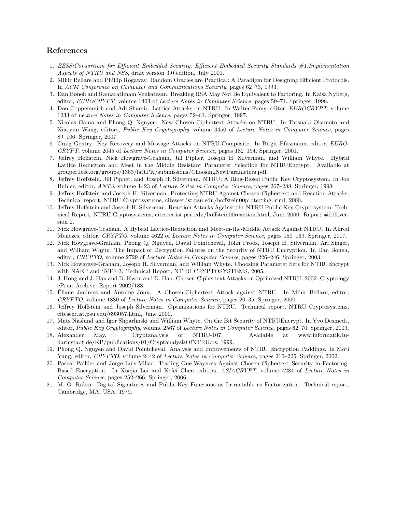## References

- <span id="page-11-3"></span>1. EESS:Consortium for Efficient Embedded Security. Efficient Embedded Security Standards #1:Implementation Aspects of NTRU and NSS, draft version 3.0 edition, July 2001.
- <span id="page-11-9"></span>2. Mihir Bellare and Phillip Rogaway. Random Oracles are Practical: A Paradigm for Designing Efficient Protocols. In ACM Conference on Computer and Communications Security, pages 62–73, 1993.
- <span id="page-11-2"></span>3. Dan Boneh and Ramarathnam Venkatesan. Breaking RSA May Not Be Equivalent to Factoring. In Kaisa Nyberg, editor, EUROCRYPT, volume 1403 of Lecture Notes in Computer Science, pages 59–71. Springer, 1998.
- <span id="page-11-15"></span>4. Don Coppersmith and Adi Shamir. Lattice Attacks on NTRU. In Walter Fumy, editor, EUROCRYPT, volume 1233 of Lecture Notes in Computer Science, pages 52–61. Springer, 1997.
- <span id="page-11-8"></span>5. Nicolas Gama and Phong Q. Nguyen. New Chosen-Ciphertext Attacks on NTRU. In Tatsuaki Okamoto and Xiaoyun Wang, editors, Public Key Cryptography, volume 4450 of Lecture Notes in Computer Science, pages 89–106. Springer, 2007.
- <span id="page-11-14"></span>6. Craig Gentry. Key Recovery and Message Attacks on NTRU-Composite. In Birgit Pfitzmann, editor, EURO-CRYPT, volume 2045 of Lecture Notes in Computer Science, pages 182–194. Springer, 2001.
- <span id="page-11-19"></span>7. Jeffrey Hoffstein, Nick Howgrave-Graham, Jill Pipher, Joseph H. Silverman, and William Whyte. Hybrid Lattice Reduction and Meet in the Middle Resistant Parameter Selection for NTRUEncrypt. Available at grouper.ieee.org/groups/1363/lattPK/submissions/ChoosingNewParameters.pdf.
- <span id="page-11-13"></span>8. Jeffrey Hoffstein, Jill Pipher, and Joseph H. Silverman. NTRU: A Ring-Based Public Key Cryptosystem. In Joe Buhler, editor, ANTS, volume 1423 of Lecture Notes in Computer Science, pages 267–288. Springer, 1998.
- <span id="page-11-10"></span>9. Jeffrey Hoffstein and Joseph H. Silverman. Protecting NTRU Against Chosen Ciphertext and Reaction Attacks. Technical report, NTRU Cryptosystems, citeseer.ist.psu.edu/hoffstein00protecting.html, 2000.
- <span id="page-11-6"></span>10. Jeffrey Hoffstein and Joseph H. Silverman. Reaction Attacks Against the NTRU Public Key Cryptosystem. Technical Report, NTRU Cryptosystems, citeseer.ist.psu.edu/hoffstein00reaction.html, June 2000. Report #015,version 2.
- <span id="page-11-18"></span>11. Nick Howgrave-Graham. A Hybrid Lattice-Reduction and Meet-in-the-Middle Attack Against NTRU. In Alfred Menezes, editor, CRYPTO, volume 4622 of Lecture Notes in Computer Science, pages 150–169. Springer, 2007.
- <span id="page-11-7"></span>12. Nick Howgrave-Graham, Phong Q. Nguyen, David Pointcheval, John Proos, Joseph H. Silverman, Ari Singer, and William Whyte. The Impact of Decryption Failures on the Security of NTRU Encryption. In Dan Boneh, editor, CRYPTO, volume 2729 of Lecture Notes in Computer Science, pages 226–246. Springer, 2003.
- <span id="page-11-17"></span>13. Nick Howgrave-Graham, Joseph H. Silverman, and William Whyte. Choosing Parameter Sets for NTRUEncrypt with NAEP and SVES-3. Technical Report, NTRU CRYPTOSYSTEMS, 2005.
- <span id="page-11-5"></span>14. J. Hong and J. Han and D. Kwon and D. Han. Chosen-Ciphertext Attacks on Optimized NTRU. 2002. Cryptology ePrint Archive: Report 2002/188.
- <span id="page-11-4"></span>15. Eliane Jaulmes and Antoine Joux. A Chosen-Ciphertext Attack against NTRU. In Mihir Bellare, editor, ´ CRYPTO, volume 1880 of Lecture Notes in Computer Science, pages 20–35. Springer, 2000.
- <span id="page-11-11"></span>16. Jeffrey Hoffstein and Joseph Silverman. Optimizations for NTRU. Technical report, NTRU Cryptosystems, citeseer.ist.psu.edu/693057.html, June 2000.
- 17. Mats N¨aslund and Igor Shparlinski and William Whyte. On the Bit Security of NTRUEncrypt. In Yvo Desmedt, editor, Public Key Cryptography, volume 2567 of Lecture Notes in Computer Science, pages 62–70. Springer, 2003.
- <span id="page-11-16"></span>18. Alexander May. Cryptanalysis of NTRU-107. Available at www.informatik.tudarmstadt.de/KP/publications/01/CryptanalysisOfNTRU.ps, 1999.
- <span id="page-11-12"></span>19. Phong Q. Nguyen and David Pointcheval. Analysis and Improvements of NTRU Encryption Paddings. In Moti Yung, editor, CRYPTO, volume 2442 of Lecture Notes in Computer Science, pages 210–225. Springer, 2002.
- <span id="page-11-1"></span>20. Pascal Paillier and Jorge Luis Villar. Trading One-Wayness Against Chosen-Ciphertext Security in Factoring-Based Encryption. In Xuejia Lai and Kefei Chen, editors, ASIACRYPT, volume 4284 of Lecture Notes in Computer Science, pages 252–266. Springer, 2006.
- <span id="page-11-0"></span>21. M. O. Rabin. Digital Signatures and Public-Key Functions as Intractable as Factorization. Technical report, Cambridge, MA, USA, 1979.